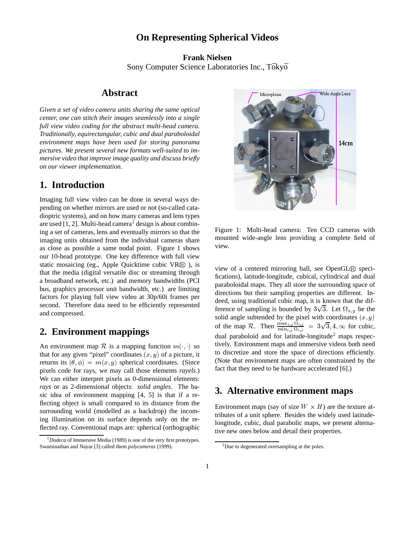## **On Representing Spherical Videos**

**Frank Nielsen** Sony Computer Science Laboratories Inc., Tōkyō

#### **Abstract**

*Given a set of video camera units sharing the same optical center, one can stitch their images seamlessly into a single full view video coding for the abstract multi-head camera. Traditionally, equirectangular, cubic and dual paraboloidal environment maps have been used for storing panorama pictures. We present several new formats well-suited to immersive video that improve image quality and discuss briefly on our viewer implementation.*

## **1. Introduction**

Imaging full view video can be done in several ways depending on whether mirrors are used or not (so-called catadioptric systems), and on how many cameras and lens types are used  $[1, 2]$ . Multi-head camera<sup>1</sup> design is about combining a set of cameras, lens and eventually mirrors so that the imaging units obtained from the individual cameras share as close as possible a same nodal point. Figure 1 shows our 10-head prototype. One key difference with full view static mosaicing (eg., Apple Quicktime cubic  $VR(\overline{R})$ ), is that the media (digital versatile disc or streaming through a broadband network, etc.) and memory bandwidths (PCI bus, graphics processor unit bandwidth, etc.) are limiting factors for playing full view video at 30p/60i frames per second. Therefore data need to be efficiently represented and compressed.

# **2. Environment mappings**

An environment map R is a mapping function  $m(\cdot, \cdot)$  so that for any given "pixel" coordinates  $(x, y)$  of a picture, it returns its  $(\theta, \phi) = m(x, y)$  spherical coordinates. (Since pixels code for rays, we may call those elements *rayels*.) We can either interpret pixels as 0-dimensional elements: *rays* or as 2-dimensional objects: *solid angles*. The basic idea of environment mapping [4, 5] is that if a reflecting object is small compared to its distance from the surrounding world (modelled as a backdrop) the incoming illumination on its surface depends only on the reflected ray. Conventional maps are: spherical (orthographic



Figure 1: Multi-head camera: Ten CCD cameras with mounted wide-angle lens providing a complete field of view.

view of a centered mirroring ball, see OpenGL® specifications), latitude-longitude, cubical, cylindrical and dual paraboloidal maps. They all store the surrounding space of directions but their sampling properties are different. Indeed, using traditional cubic map, it is known that the difference of sampling is bounded by  $3\sqrt{3}$ . Let  $\Omega_{x,y}$  be the solid angle subtended by the pixel with coordinates  $(x, y)$ of the map R. Then  $\frac{\max_{i,j} M_{i,j}}{\min_{i,j} \Omega_{i,j}} = 3\sqrt{3}, 4, \infty$  for cubic, dual paraboloid and for latitude-longitude<sup>2</sup> maps respectively. Environment maps and immersive videos both need to discretize and store the space of directions efficiently. (Note that environment maps are often constrained by the fact that they need to be hardware accelerated [6].)

## **3. Alternative environment maps**

Environment maps (say of size  $W \times H$ ) are the texture attributes of a unit sphere. Besides the widely used latitudelongitude, cubic, dual parabolic maps, we present alternative new ones below and detail their properties.

<sup>&</sup>lt;sup>1</sup>Dodeca of Immersive Media (1989) is one of the very first prototypes. Swaminathan and Nayar [3] called them *polycameras* (1999).

<sup>2</sup>Due to degenerated oversampling at the poles.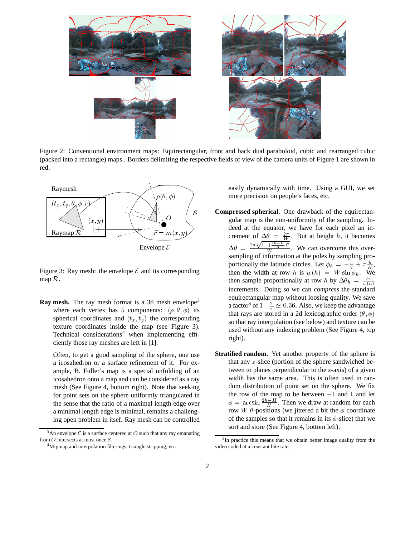

Figure 2: Conventional environment maps: Equirectangular, front and back dual paraboloid, cubic and rearranged cubic (packed into a rectangle) maps . Borders delimiting the respective fields of view of the camera units of Figure 1 are shown in red.



Figure 3: Ray mesh: the envelope  $\mathcal E$  and its corresponding map  $\mathcal{R}$ .

**Ray mesh.** The ray mesh format is a 3d mesh envelope<sup>3</sup> where each vertex has 5 components:  $(\rho, \theta, \phi)$  its spherical coordinates and  $(t_x, t_y)$  the corresponding texture coordinates inside the map (see Figure 3). Technical considerations<sup>4</sup> when implementing efficiently those ray meshes are left in [1].

Often, to get a good sampling of the sphere, one use a icosahedron or a surface refinement of it. For example, B. Fuller's map is a special unfolding of an icosahedron onto a map and can be considered as a ray mesh (See Figure 4, bottom right). Note that seeking for point sets on the sphere uniformly triangulated in the sense that the ratio of a maximal length edge over a minimal length edge is minimal, remains a challenging open problem in itsef. Ray mesh can be controlled

easily dynamically with time. Using a GUI, we set more precision on people's faces, etc.

- **Compressed spherical.** One drawback of the equirectangular map is the non-uniformity of the sampling. Indeed at the equator, we have for each pixel an increment of  $\Delta \bar{\theta} = \frac{2\pi}{W}$ . But at height h, it becomes  $\Delta \theta = \frac{2\pi \sqrt{1-(\frac{2h-H}{H})^2}}{W}$ . We can overcome this oversampling of information at the poles by sampling proportionally the latitude circles. Let  $\phi_h = -\frac{\pi}{2} + \pi \frac{h}{H}$ , then the width at row h is  $w(h) = W \sin \phi_h$ . We then sample proportionally at row h by  $\Delta \theta_h = \frac{2\pi}{w(h)}$  increments. Doing so we can *compress* the standard equirectangular map without loosing quality. We save a factor<sup>5</sup> of  $1 - \frac{2}{\pi} \simeq 0.36$ . Also, we keep the advantage that rays are stored in a 2d lexicographic order  $(\theta, \phi)$ so that ray interpolation (see below) and texture can be used without any indexing problem (See Figure 4, top right).
- **Stratified random.** Yet another property of the sphere is that any  $z$ -slice (portion of the sphere sandwiched between to planes perpendicular to the z-axis) of a given width has the same area. This is often used in random distribution of point set on the sphere. We fix the row of the map to be between  $-1$  and 1 and let  $\phi = \arcsin \frac{2h-H}{H}$ . Then we draw at random for each row W  $\theta$ -positions (we jittered a bit the  $\phi$  coordinate of the samples so that it remains in its  $\phi$ -slice) that we sort and store (See Figure 4, bottom left).

<sup>&</sup>lt;sup>3</sup>An envelope  $\mathcal E$  is a surface centered at O such that any ray emanating from O intersects at most once  $\mathcal{E}$ .

<sup>4</sup>Mipmap and interpolation filterings, triangle stripping, etc.

 $5$ In practice this means that we obtain better image quality from the video coded at a constant bite rate.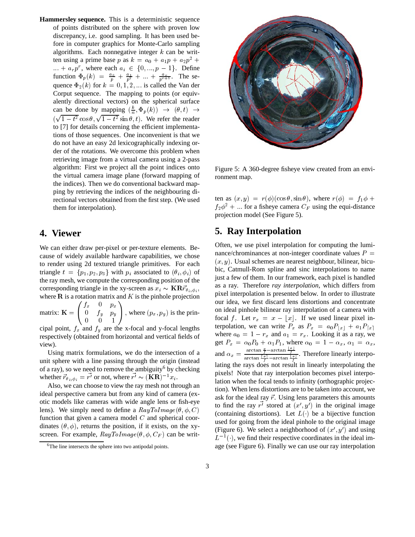**Hammersley sequence.** This is a deterministic sequence of points distributed on the sphere with proven low discrepancy, i.e. good sampling. It has been used before in computer graphics for Monte-Carlo sampling algorithms. Each nonnegative integer  $k$  can be written using a prime base p as  $k = a_0 + a_1 p + a_2 p^2 +$  $\ldots + a_r p^r$ , where each  $a_i \in \{0, \ldots, p-1\}$ . Define function  $\Phi_p(k) = \frac{a_0}{p} + \frac{a_1}{p^2} + \dots + \frac{a_r}{p^{r+1}}$ . The sequence  $\Phi_2(k)$  for  $k = 0, 1, 2, \dots$  is called the Van der Corput sequence. The mapping to points (or equivalently directional vectors) on the spherical surface can be done by mapping  $(\frac{k}{n}, \Phi_p(k)) \to (\theta, t) \to$  $(\sqrt{1-t^2}\cos\theta, \sqrt{1-t^2}\sin\theta, t)$ . We refer the reader to [7] for details concerning the efficient implementations of those sequences. One inconvenient is that we do not have an easy 2d lexicographically indexing order of the rotations. We overcome this problem when retrieving image from a virtual camera using a 2-pass algorithm: First we project all the point indices onto the virtual camera image plane (forward mapping of the indices). Then we do conventional backward mapping by retrieving the indices of the neighbouring directional vectors obtained from the first step. (We used them for interpolation).

#### **4. Viewer**

We can either draw per-pixel or per-texture elements. Because of widely available hardware capabilities, we chose to render using 2d textured triangle primitives. For each triangle  $t = \{p_1, p_2, p_3\}$  with  $p_i$  associated to  $(\theta_i, \phi_i)$  of the ray mesh, we compute the corresponding position of the corresponding triangle in the xy-screen as  $x_i \sim \mathbf{KR} \vec{r}_{\theta_i, \phi_i}$ , where  $\bf R$  is a rotation matrix and  $K$  is the pinhole projection

matrix:  $\mathbf{K} = \begin{pmatrix} f_x & 0 & p_x \ 0 & f_y & p_y \end{pmatrix}$   $\sim$   $\sim$   $\sim$   $\sim$   $\sim$   $\sim$ , where  $(p_x, p_y)$  is the principal point,  $f_x$  and  $f_y$  are the x-focal and y-focal lengths

 $\mathcal{L}$  and the state of the state of the state of the state of the state of the state of the state of the state of the state of the state of the state of the state of the state of the state of the state of the state of

respectively (obtained from horizontal and vertical fields of view).

Using matrix formulations, we do the intersection of a unit sphere with a line passing through the origin (instead of a ray), so we need to remove the ambiguity<sup>6</sup> by checking whether  $\vec{r}_{\theta_i, \phi_i} = r'$  or not, where  $r' \sim (\mathbf{KR})^{-1} x_i$ .

Also, we can choose to view the ray mesh not through an ideal perspective camera but from any kind of camera (exotic models like cameras with wide angle lens or fish-eye lens). We simply need to define a  $RayToImage(\theta, \phi, C)$ function that given a camera model  $C$  and spherical coordinates  $(\theta, \phi)$ , returns the position, if it exists, on the xyscreen. For example,  $RayToImage(\theta, \phi, C_F)$  can be writ-



Figure 5: A 360-degree fisheye view created from an environment map.

ten as  $(x, y) = r(\phi)(\cos \theta, \sin \theta)$ , where  $r(\phi) = f_1 \phi +$  $f_2\phi^2 + \dots$  for a fisheye camera  $C_F$  using the equi-distance projection model (See Figure 5).

## **5. Ray Interpolation**

 pixel interpolation is presented below. In order to illustrate (containing distortions). Let  $L(\cdot)$  be a bijective function Often, we use pixel interpolation for computing the luminance/chrominances at non-integer coordinate values  $P =$  $(x, y)$ . Usual schemes are nearest neighbour, bilinear, bicubic, Catmull-Rom spline and sinc interpolations to name just a few of them. In our framework, each pixel is handled as a ray. Therefore *ray interpolation*, which differs from our idea, we first discard lens distortions and concentrate on ideal pinhole bilinear ray interpolation of a camera with focal f. Let  $r_x = x - \lfloor x \rfloor$ . If we used linear pixel interpolation, we can write  $P_x$  as  $P_x = a_0 P_{|x|} + a_1 P_{|x|}$ where  $a_0 = 1 - r_x$  and  $a_1 = r_x$ . Looking it as a ray, we get  $P_x = \alpha_0 P_0 + \alpha_1 P_1$ , where  $\alpha_0 = 1 - \alpha_x$ ,  $\alpha_1 = \alpha_x$ , and  $\alpha_x = \frac{\arctan \frac{x}{f} - \arctan \frac{y}{f}}{\frac{x}{g} - \frac{x}{f}}$ . The  $\frac{d \arctan f}{dx}$   $\frac{d \arctan f}{dx}$ . Therefore linearly interpolating the rays does not result in linearly interpolating the pixels! Note that ray interpolation becomes pixel interpolation when the focal tends to infinity (orthographic projection). When lens distortions are to be taken into account, we ask for the ideal ray  $\vec{r}$ . Using lens parameters this amounts to find the ray  $r^i$  stored at  $(x', y')$  in the original image used for going from the ideal pinhole to the original image (Figure 6). We select a neighborhood of  $(x', y')$  and using  $L^{-1}(\cdot)$ , we find their respective coordinates in the ideal image (see Figure 6). Finally we can use our ray interpolation

<sup>6</sup>The line intersects the sphere into two antipodal points.